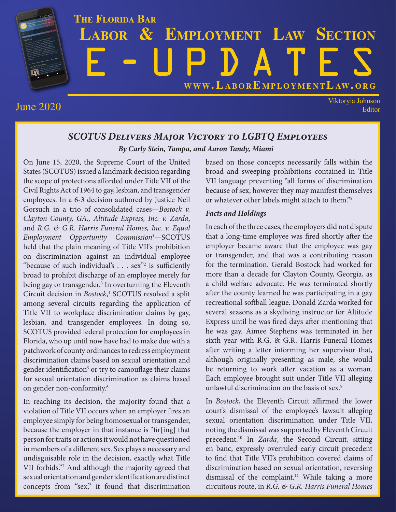

June 2020 Viktoryia Johnson Editor

## *SCOTUS Delivers Major Victory to LGBTQ Employees By Carly Stein, Tampa, and Aaron Tandy, Miami*

On June 15, 2020, the Supreme Court of the United States (SCOTUS) issued a landmark decision regarding the scope of protections afforded under Title VII of the Civil Rights Act of 1964 to gay, lesbian, and transgender employees. In a 6-3 decision authored by Justice Neil Gorsuch in a trio of consolidated cases—*Bostock v. Clayton County, GA., Altitude Express, Inc. v. Zarda*, and *R.G. & G.R. Harris Funeral Homes, Inc. v. Equal Employment Opportunity Commission*<sup>1</sup> —SCOTUS held that the plain meaning of Title VII's prohibition on discrimination against an individual employee "because of such individual's  $\ldots$  sex"<sup>2</sup> is sufficiently broad to prohibit discharge of an employee merely for being gay or transgender.<sup>3</sup> In overturning the Eleventh Circuit decision in *Bostock*, <sup>4</sup> SCOTUS resolved a split among several circuits regarding the application of Title VII to workplace discrimination claims by gay, lesbian, and transgender employees. In doing so, SCOTUS provided federal protection for employees in Florida, who up until now have had to make due with a patchwork of county ordinances to redress employment discrimination claims based on sexual orientation and gender identification<sup>5</sup> or try to camouflage their claims for sexual orientation discrimination as claims based on gender non-conformity.6

In reaching its decision, the majority found that a violation of Title VII occurs when an employer fires an employee simply for being homosexual or transgender, because the employer in that instance is "fir[ing] that person for traits or actions it would not have questioned in members of a different sex. Sex plays a necessary and undisguisable role in the decision, exactly what Title VII forbids."7 And although the majority agreed that sexual orientation and gender identification are distinct concepts from "sex," it found that discrimination

based on those concepts necessarily falls within the broad and sweeping prohibitions contained in Title VII language preventing "all forms of discrimination because of sex, however they may manifest themselves or whatever other labels might attach to them."8

### *Facts and Holdings*

In each of the three cases, the employers did not dispute that a long-time employee was fired shortly after the employer became aware that the employee was gay or transgender, and that was a contributing reason for the termination. Gerald Bostock had worked for more than a decade for Clayton County, Georgia, as a child welfare advocate. He was terminated shortly after the county learned he was participating in a gay recreational softball league. Donald Zarda worked for several seasons as a skydiving instructor for Altitude Express until he was fired days after mentioning that he was gay. Aimee Stephens was terminated in her sixth year with R.G. & G.R. Harris Funeral Homes after writing a letter informing her supervisor that, although originally presenting as male, she would be returning to work after vacation as a woman. Each employee brought suit under Title VII alleging unlawful discrimination on the basis of sex.<sup>9</sup>

In *Bostock*, the Eleventh Circuit affirmed the lower court's dismissal of the employee's lawsuit alleging sexual orientation discrimination under Title VII, noting the dismissal was supported by Eleventh Circuit precedent.10 In *Zarda*, the Second Circuit, sitting en banc, expressly overruled early circuit precedent to find that Title VII's prohibition covered claims of discrimination based on sexual orientation, reversing dismissal of the complaint.<sup>11</sup> While taking a more circuitous route, in *R.G. & G.R. Harris Funeral Homes*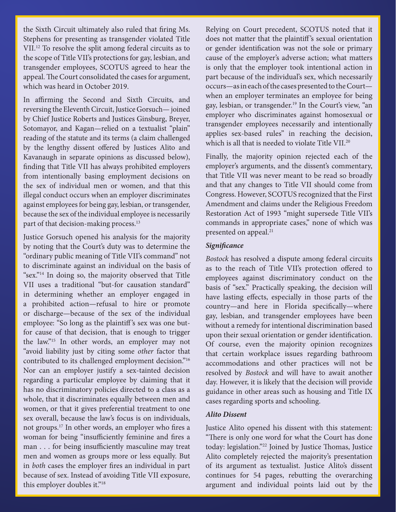the Sixth Circuit ultimately also ruled that firing Ms. Stephens for presenting as transgender violated Title VII.12 To resolve the split among federal circuits as to the scope of Title VII's protections for gay, lesbian, and transgender employees, SCOTUS agreed to hear the appeal. The Court consolidated the cases for argument, which was heard in October 2019.

In affirming the Second and Sixth Circuits, and reversing the Eleventh Circuit, Justice Gorsuch— joined by Chief Justice Roberts and Justices Ginsburg, Breyer, Sotomayor, and Kagan—relied on a textualist "plain" reading of the statute and its terms (a claim challenged by the lengthy dissent offered by Justices Alito and Kavanaugh in separate opinions as discussed below), finding that Title VII has always prohibited employers from intentionally basing employment decisions on the sex of individual men or women, and that this illegal conduct occurs when an employer discriminates against employees for being gay, lesbian, or transgender, because the sex of the individual employee is necessarily part of that decision-making process.<sup>13</sup>

Justice Gorsuch opened his analysis for the majority by noting that the Court's duty was to determine the "ordinary public meaning of Title VII's command" not to discriminate against an individual on the basis of "sex."14 In doing so, the majority observed that Title VII uses a traditional "but-for causation standard" in determining whether an employer engaged in a prohibited action—refusal to hire or promote or discharge—because of the sex of the individual employee: "So long as the plaintiff's sex was one butfor cause of that decision, that is enough to trigger the law."15 In other words, an employer may not "avoid liability just by citing some *other* factor that contributed to its challenged employment decision."<sup>16</sup> Nor can an employer justify a sex-tainted decision regarding a particular employee by claiming that it has no discriminatory policies directed to a class as a whole, that it discriminates equally between men and women, or that it gives preferential treatment to one sex overall, because the law's focus is on individuals, not groups.17 In other words, an employer who fires a woman for being "insufficiently feminine and fires a man . . . for being insufficiently masculine may treat men and women as groups more or less equally. But in *both* cases the employer fires an individual in part because of sex. Instead of avoiding Title VII exposure, this employer doubles it."18

Relying on Court precedent, SCOTUS noted that it does not matter that the plaintiff 's sexual orientation or gender identification was not the sole or primary cause of the employer's adverse action; what matters is only that the employer took intentional action in part because of the individual's sex, which necessarily occurs—as in each of the cases presented to the Court when an employer terminates an employee for being gay, lesbian, or transgender.<sup>19</sup> In the Court's view, "an employer who discriminates against homosexual or transgender employees necessarily and intentionally applies sex-based rules" in reaching the decision, which is all that is needed to violate Title VII.<sup>20</sup>

Finally, the majority opinion rejected each of the employer's arguments, and the dissent's commentary, that Title VII was never meant to be read so broadly and that any changes to Title VII should come from Congress. However, SCOTUS recognized that the First Amendment and claims under the Religious Freedom Restoration Act of 1993 "might supersede Title VII's commands in appropriate cases," none of which was presented on appeal.<sup>21</sup>

#### *Significance*

*Bostock* has resolved a dispute among federal circuits as to the reach of Title VII's protection offered to employees against discriminatory conduct on the basis of "sex." Practically speaking, the decision will have lasting effects, especially in those parts of the country—and here in Florida specifically—where gay, lesbian, and transgender employees have been without a remedy for intentional discrimination based upon their sexual orientation or gender identification. Of course, even the majority opinion recognizes that certain workplace issues regarding bathroom accommodations and other practices will not be resolved by *Bostock* and will have to await another day. However, it is likely that the decision will provide guidance in other areas such as housing and Title IX cases regarding sports and schooling.

#### *Alito Dissent*

Justice Alito opened his dissent with this statement: "There is only one word for what the Court has done today: legislation."22 Joined by Justice Thomas, Justice Alito completely rejected the majority's presentation of its argument as textualist. Justice Alito's dissent continues for 54 pages, rebutting the overarching argument and individual points laid out by the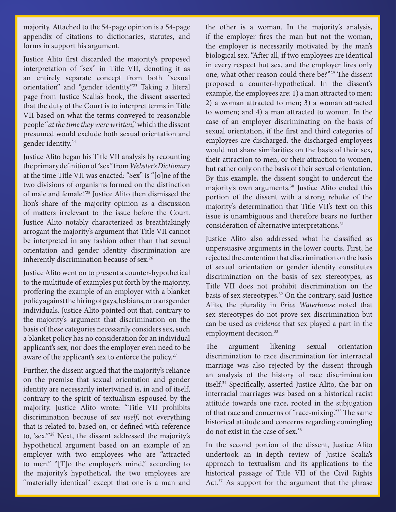majority. Attached to the 54-page opinion is a 54-page appendix of citations to dictionaries, statutes, and forms in support his argument.

Justice Alito first discarded the majority's proposed interpretation of "sex" in Title VII, denoting it as an entirely separate concept from both "sexual orientation" and "gender identity."23 Taking a literal page from Justice Scalia's book, the dissent asserted that the duty of the Court is to interpret terms in Title VII based on what the terms conveyed to reasonable people "*at the time they were written*," which the dissent presumed would exclude both sexual orientation and gender identity.24

Justice Alito began his Title VII analysis by recounting the primary definition of "sex" from *Webster's Dictionary* at the time Title VII was enacted: "Sex" is "[o]ne of the two divisions of organisms formed on the distinction of male and female."25 Justice Alito then dismissed the lion's share of the majority opinion as a discussion of matters irrelevant to the issue before the Court. Justice Alito notably characterized as breathtakingly arrogant the majority's argument that Title VII cannot be interpreted in any fashion other than that sexual orientation and gender identity discrimination are inherently discrimination because of sex.<sup>26</sup>

Justice Alito went on to present a counter-hypothetical to the multitude of examples put forth by the majority, proffering the example of an employer with a blanket policy against the hiring of gays, lesbians, or transgender individuals. Justice Alito pointed out that, contrary to the majority's argument that discrimination on the basis of these categories necessarily considers sex, such a blanket policy has no consideration for an individual applicant's sex, nor does the employer even need to be aware of the applicant's sex to enforce the policy.<sup>27</sup>

Further, the dissent argued that the majority's reliance on the premise that sexual orientation and gender identity are necessarily intertwined is, in and of itself, contrary to the spirit of textualism espoused by the majority. Justice Alito wrote: "Title VII prohibits discrimination because of *sex itself*, not everything that is related to, based on, or defined with reference to, 'sex.'"28 Next, the dissent addressed the majority's hypothetical argument based on an example of an employer with two employees who are "attracted to men." "[T]o the employer's mind," according to the majority's hypothetical, the two employees are "materially identical" except that one is a man and

the other is a woman. In the majority's analysis, if the employer fires the man but not the woman, the employer is necessarily motivated by the man's biological sex. "After all, if two employees are identical in every respect but sex, and the employer fires only one, what other reason could there be?"29 The dissent proposed a counter-hypothetical. In the dissent's example, the employees are: 1) a man attracted to men; 2) a woman attracted to men; 3) a woman attracted to women; and 4) a man attracted to women. In the case of an employer discriminating on the basis of sexual orientation, if the first and third categories of employees are discharged, the discharged employees would not share similarities on the basis of their sex, their attraction to men, or their attraction to women, but rather only on the basis of their sexual orientation. By this example, the dissent sought to undercut the majority's own arguments.<sup>30</sup> Justice Alito ended this portion of the dissent with a strong rebuke of the majority's determination that Title VII's text on this issue is unambiguous and therefore bears no further consideration of alternative interpretations.<sup>31</sup>

Justice Alito also addressed what he classified as unpersuasive arguments in the lower courts. First, he rejected the contention that discrimination on the basis of sexual orientation or gender identity constitutes discrimination on the basis of sex stereotypes, as Title VII does not prohibit discrimination on the basis of sex stereotypes.32 On the contrary, said Justice Alito, the plurality in *Price Waterhouse* noted that sex stereotypes do not prove sex discrimination but can be used as *evidence* that sex played a part in the employment decision.<sup>33</sup>

The argument likening sexual orientation discrimination to race discrimination for interracial marriage was also rejected by the dissent through an analysis of the history of race discrimination itself.34 Specifically, asserted Justice Alito, the bar on interracial marriages was based on a historical racist attitude towards one race, rooted in the subjugation of that race and concerns of "race-mixing."35 The same historical attitude and concerns regarding comingling do not exist in the case of sex.36

In the second portion of the dissent, Justice Alito undertook an in-depth review of Justice Scalia's approach to textualism and its applications to the historical passage of Title VII of the Civil Rights Act.<sup>37</sup> As support for the argument that the phrase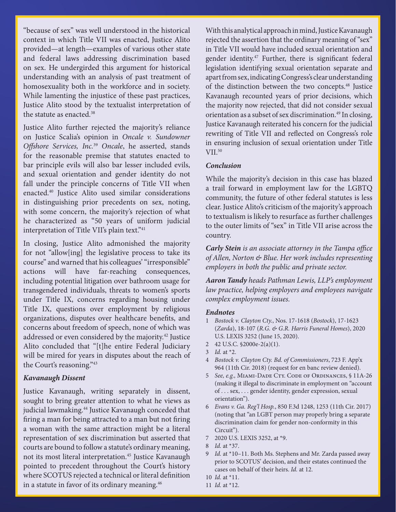"because of sex" was well understood in the historical context in which Title VII was enacted, Justice Alito provided—at length—examples of various other state and federal laws addressing discrimination based on sex. He undergirded this argument for historical understanding with an analysis of past treatment of homosexuality both in the workforce and in society. While lamenting the injustice of these past practices, Justice Alito stood by the textualist interpretation of the statute as enacted.<sup>38</sup>

Justice Alito further rejected the majority's reliance on Justice Scalia's opinion in *Oncale v. Sundowner Offshore Services, Inc.*<sup>39</sup> *Oncale*, he asserted, stands for the reasonable premise that statutes enacted to bar principle evils will also bar lesser included evils, and sexual orientation and gender identity do not fall under the principle concerns of Title VII when enacted.40 Justice Alito used similar considerations in distinguishing prior precedents on sex, noting, with some concern, the majority's rejection of what he characterized as "50 years of uniform judicial interpretation of Title VII's plain text."<sup>41</sup>

In closing, Justice Alito admonished the majority for not "allow[ing] the legislative process to take its course" and warned that his colleagues' "irresponsible" actions will have far-reaching consequences, including potential litigation over bathroom usage for transgendered individuals, threats to women's sports under Title IX, concerns regarding housing under Title IX, questions over employment by religious organizations, disputes over healthcare benefits, and concerns about freedom of speech, none of which was addressed or even considered by the majority.42 Justice Alito concluded that "[t]he entire Federal Judiciary will be mired for years in disputes about the reach of the Court's reasoning."43

#### *Kavanaugh Dissent*

Justice Kavanaugh, writing separately in dissent, sought to bring greater attention to what he views as judicial lawmaking.<sup>44</sup> Justice Kavanaugh conceded that firing a man for being attracted to a man but not firing a woman with the same attraction might be a literal representation of sex discrimination but asserted that courts are bound to follow a statute's ordinary meaning, not its most literal interpretation.<sup>45</sup> Justice Kavanaugh pointed to precedent throughout the Court's history where SCOTUS rejected a technical or literal definition in a statute in favor of its ordinary meaning.<sup>46</sup>

With this analytical approach in mind, Justice Kavanaugh rejected the assertion that the ordinary meaning of "sex" in Title VII would have included sexual orientation and gender identity.<sup>47</sup> Further, there is significant federal legislation identifying sexual orientation separate and apart from sex, indicating Congress's clear understanding of the distinction between the two concepts.<sup>48</sup> Justice Kavanaugh recounted years of prior decisions, which the majority now rejected, that did not consider sexual orientation as a subset of sex discrimination.<sup>49</sup> In closing, Justice Kavanaugh reiterated his concern for the judicial rewriting of Title VII and reflected on Congress's role in ensuring inclusion of sexual orientation under Title VII.50

#### *Conclusion*

While the majority's decision in this case has blazed a trail forward in employment law for the LGBTQ community, the future of other federal statutes is less clear. Justice Alito's criticism of the majority's approach to textualism is likely to resurface as further challenges to the outer limits of "sex" in Title VII arise across the country.

*Carly Stein is an associate attorney in the Tampa office of Allen, Norton & Blue. Her work includes representing employers in both the public and private sector.*

*Aaron Tandy heads Pathman Lewis, LLP's employment law practice, helping employers and employees navigate complex employment issues.*

#### *Endnotes*

- 1 *Bostock v. Clayton Cty.*, Nos. 17-1618 (*Bostock*), 17-1623 (*Zarda*), 18-107 (*R.G. & G.R. Harris Funeral Homes*), 2020 U.S. LEXIS 3252 (June 15, 2020).
- 2 42 U.S.C. §2000e-2(a)(1).
- 3 *Id.* at \*2.
- 4 *Bostock v. Clayton Cty. Bd. of Commissioners*, 723 F. App'x 964 (11th Cir. 2018) (request for en banc review denied).
- 5 *See, e.g.,* Miami-Dade Cty. Code of Ordinances, § 11A-26 (making it illegal to discriminate in employment on "account of . . . sex, . . . gender identity, gender expression, sexual orientation").
- 6 *Evans v. Ga. Reg'l Hosp.*, 850 F.3d 1248, 1253 (11th Cir. 2017) (noting that "an LGBT person may properly bring a separate discrimination claim for gender non-conformity in this Circuit").
- 7 2020 U.S. LEXIS 3252, at \*9.
- 8 *Id.* at \*37.
- 9 *Id.* at \*10–11. Both Ms. Stephens and Mr. Zarda passed away prior to SCOTUS' decision, and their estates continued the cases on behalf of their heirs. *Id.* at 12.
- 10 *Id.* at \*11.
- 11 *Id.* at \*12.